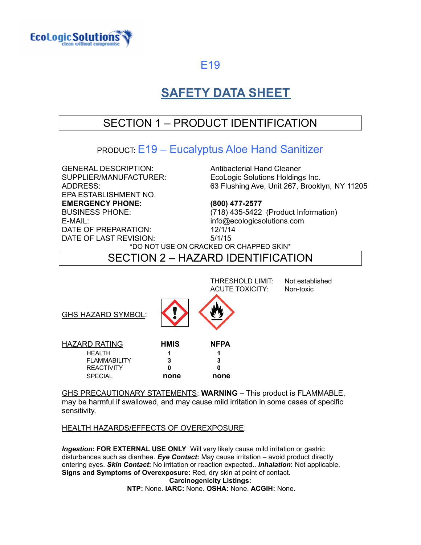

# **SAFETY DATA SHEET**

# SECTION 1 – PRODUCT IDENTIFICATION

### PRODUCT: E19 – Eucalyptus Aloe Hand Sanitizer

GENERAL DESCRIPTION: Antibacterial Hand Cleaner EPA ESTABLISHMENT NO. **EMERGENCY PHONE: (800) 477-2577** E-MAIL: info@ecologicsolutions.com DATE OF PREPARATION: 12/1/14 DATE OF LAST REVISION: 5/1/15

SUPPLIER/MANUFACTURER: EcoLogic Solutions Holdings Inc. ADDRESS: 63 Flushing Ave, Unit 267, Brooklyn, NY 11205

BUSINESS PHONE: (718) 435-5422 (Product Information)

\*DO NOT USE ON CRACKED OR CHAPPED SKIN\*

### SECTION 2 – HAZARD IDENTIFICATION

|                           |             | THRESHOLD LIMIT:<br><b>ACUTE TOXICITY:</b> | Not established<br>Non-toxic |
|---------------------------|-------------|--------------------------------------------|------------------------------|
| <b>GHS HAZARD SYMBOL:</b> |             |                                            |                              |
| <b>HAZARD RATING</b>      | <b>HMIS</b> | <b>NFPA</b>                                |                              |
| <b>HEALTH</b>             |             |                                            |                              |
| <b>FLAMMABILITY</b>       |             |                                            |                              |
| <b>REACTIVITY</b>         | O           | Ω                                          |                              |
| <b>SPECIAL</b>            | none        | none                                       |                              |

GHS PRECAUTIONARY STATEMENTS: **WARNING** – This product is FLAMMABLE, may be harmful if swallowed, and may cause mild irritation in some cases of specific sensitivity.

### HEALTH HAZARDS/EFFECTS OF OVEREXPOSURE:

*Ingestion***: FOR EXTERNAL USE ONLY** Will very likely cause mild irritation or gastric disturbances such as diarrhea. *Eye Contact***:** May cause irritation – avoid product directly entering eyes. *Skin Contact***:** No irritation or reaction expected.. *Inhalation***:** Not applicable. **Signs and Symptoms of Overexposure:** Red, dry skin at point of contact. **Carcinogenicity Listings: NTP:** None. **IARC:** None. **OSHA:** None. **ACGIH:** None.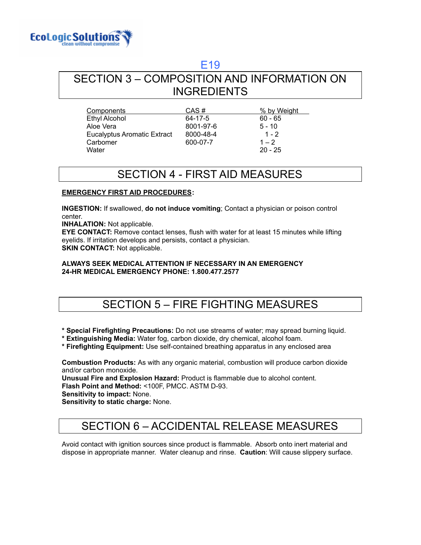

### SECTION 3 – COMPOSITION AND INFORMATION ON INGREDIENTS

| Components                  | CAS#      | % by Weight |
|-----------------------------|-----------|-------------|
| <b>Ethyl Alcohol</b>        | 64-17-5   | $60 - 65$   |
| Aloe Vera                   | 8001-97-6 | $5 - 10$    |
| Eucalyptus Aromatic Extract | 8000-48-4 | $1 - 2$     |
| Carbomer                    | 600-07-7  | $1 - 2$     |
| Water                       |           | $20 - 25$   |

## SECTION 4 - FIRST AID MEASURES

#### **EMERGENCY FIRST AID PROCEDURES:**

**INGESTION:** If swallowed, **do not induce vomiting**; Contact a physician or poison control center.

**INHALATION:** Not applicable.

**EYE CONTACT:** Remove contact lenses, flush with water for at least 15 minutes while lifting eyelids. If irritation develops and persists, contact a physician. **SKIN CONTACT:** Not applicable.

#### **ALWAYS SEEK MEDICAL ATTENTION IF NECESSARY IN AN EMERGENCY 24-HR MEDICAL EMERGENCY PHONE: 1.800.477.2577**

## SECTION 5 – FIRE FIGHTING MEASURES

**\* Special Firefighting Precautions:** Do not use streams of water; may spread burning liquid.

**\* Extinguishing Media:** Water fog, carbon dioxide, dry chemical, alcohol foam.

**\* Firefighting Equipment:** Use self-contained breathing apparatus in any enclosed area

**Combustion Products:** As with any organic material, combustion will produce carbon dioxide and/or carbon monoxide.

**Unusual Fire and Explosion Hazard:** Product is flammable due to alcohol content. **Flash Point and Method:** <100F, PMCC. ASTM D-93.

**Sensitivity to impact:** None.

**Sensitivity to static charge:** None.

# SECTION 6 – ACCIDENTAL RELEASE MEASURES

Avoid contact with ignition sources since product is flammable. Absorb onto inert material and dispose in appropriate manner. Water cleanup and rinse. **Caution**: Will cause slippery surface.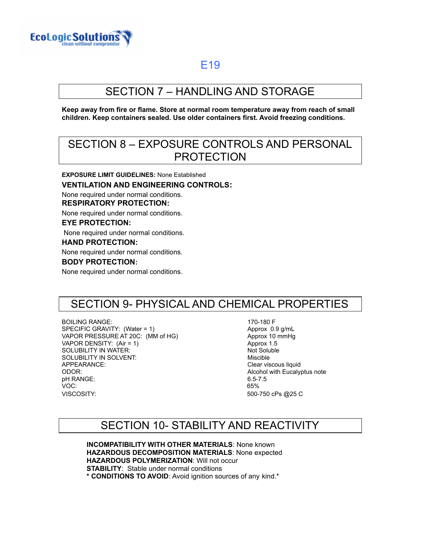

# SECTION 7 – HANDLING AND STORAGE

**Keep away from fire or flame. Store at normal room temperature away from reach of small children. Keep containers sealed. Use older containers first. Avoid freezing conditions.**

### SECTION 8 – EXPOSURE CONTROLS AND PERSONAL PROTECTION

**EXPOSURE LIMIT GUIDELINES:** None Established

#### **VENTILATION AND ENGINEERING CONTROLS:**

None required under normal conditions. **RESPIRATORY PROTECTION:**

None required under normal conditions.

### **EYE PROTECTION:**

None required under normal conditions.

#### **HAND PROTECTION:**

None required under normal conditions.

#### **BODY PROTECTION:**

None required under normal conditions.

### SECTION 9- PHYSICAL AND CHEMICAL PROPERTIES

BOILING RANGE: SPECIFIC GRAVITY: (Water = 1) VAPOR PRESSURE AT 20C: (MM of HG) Approx 10 mmHg VAPOR DENSITY: (Air = 1) Approx 1.5 SOLUBILITY IN WATER: Not Soluble 1.1 And The Soluble 1.1 And The Soluble 1.1 And The Soluble 1.1 And The Soluble SOLUBILITY IN SOLVENT: And the solution of the solution of the Miscible APPEARANCE: Clear viscous liquid ODOR: Alcohol with Eucalyptus note pH RANGE: 6.5-7.5 VOC: 65% VISCOSITY: 500-750 cPs @25 C

170-180 F Approx 0.9 g/mL

### SECTION 10- STABILITY AND REACTIVITY

**INCOMPATIBILITY WITH OTHER MATERIALS**: None known **HAZARDOUS DECOMPOSITION MATERIALS**: None expected **HAZARDOUS POLYMERIZATION**: Will not occur **STABILITY**: Stable under normal conditions **\* CONDITIONS TO AVOID**: Avoid ignition sources of any kind.\*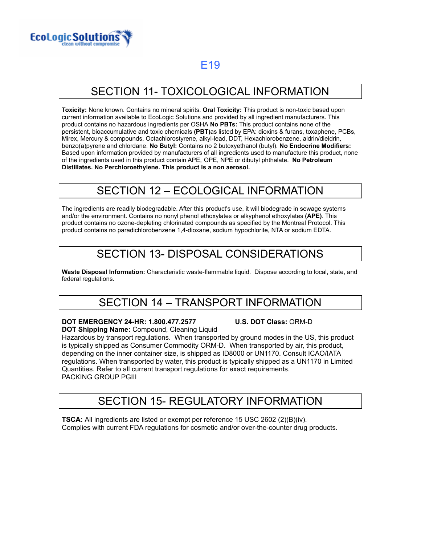

# SECTION 11- TOXICOLOGICAL INFORMATION

**Toxicity:** None known. Contains no mineral spirits. **Oral Toxicity:** This product is non-toxic based upon current information available to EcoLogic Solutions and provided by all ingredient manufacturers. This product contains no hazardous ingredients per OSHA **No PBTs:** This product contains none of the persistent, bioaccumulative and toxic chemicals **(PBT)**as listed by EPA: dioxins & furans, toxaphene, PCBs, Mirex, Mercury & compounds, Octachlorostyrene, alkyl-lead, DDT, Hexachlorobenzene, aldrin/dieldrin, benzo(a)pyrene and chlordane. **No Butyl:** Contains no 2 butoxyethanol (butyl). **No Endocrine Modifiers:** Based upon information provided by manufacturers of all ingredients used to manufacture this product, none of the ingredients used in this product contain APE, OPE, NPE or dibutyl phthalate. **No Petroleum Distillates. No Perchloroethylene. This product is a non aerosol.**

### SECTION 12 – ECOLOGICAL INFORMATION

The ingredients are readily biodegradable. After this product's use, it will biodegrade in sewage systems and/or the environment. Contains no nonyl phenol ethoxylates or alkyphenol ethoxylates **(APE)**. This product contains no ozone-depleting chlorinated compounds as specified by the Montreal Protocol. This product contains no paradichlorobenzene 1,4-dioxane, sodium hypochlorite, NTA or sodium EDTA.

## SECTION 13- DISPOSAL CONSIDERATIONS

**Waste Disposal Information:** Characteristic waste-flammable liquid. Dispose according to local, state, and federal regulations.

# SECTION 14 – TRANSPORT INFORMATION

**DOT EMERGENCY 24-HR: 1.800.477.2577 U.S. DOT Class:** ORM-D

**DOT Shipping Name:** Compound, Cleaning Liquid Hazardous by transport regulations. When transported by ground modes in the US, this product is typically shipped as Consumer Commodity ORM-D. When transported by air, this product, depending on the inner container size, is shipped as ID8000 or UN1170. Consult ICAO/IATA regulations. When transported by water, this product is typically shipped as a UN1170 in Limited Quantities. Refer to all current transport regulations for exact requirements. PACKING GROUP PGIII

# SECTION 15- REGULATORY INFORMATION

**TSCA:** All ingredients are listed or exempt per reference 15 USC 2602 (2)(B)(iv). Complies with current FDA regulations for cosmetic and/or over-the-counter drug products.